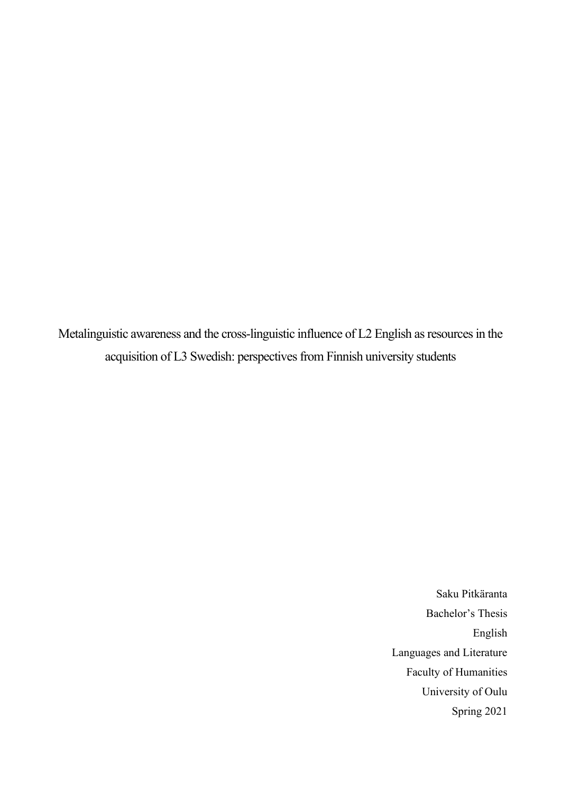Metalinguistic awareness and the cross-linguistic influence of L2 English as resources in the acquisition of L3 Swedish: perspectives from Finnish university students

> Saku Pitkäranta Bachelor's Thesis English Languages and Literature Faculty of Humanities University of Oulu Spring 2021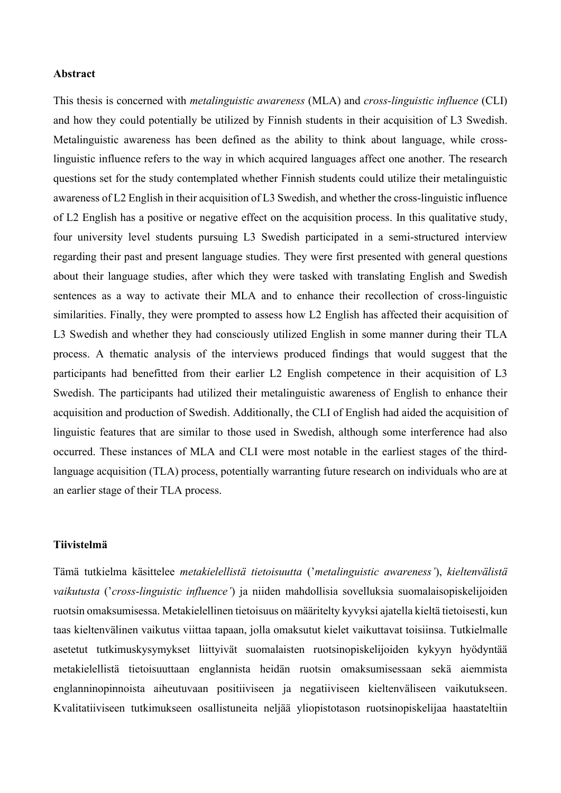#### **Abstract**

This thesis is concerned with *metalinguistic awareness* (MLA) and *cross-linguistic influence* (CLI) and how they could potentially be utilized by Finnish students in their acquisition of L3 Swedish. Metalinguistic awareness has been defined as the ability to think about language, while crosslinguistic influence refers to the way in which acquired languages affect one another. The research questions set for the study contemplated whether Finnish students could utilize their metalinguistic awareness of L2 English in their acquisition of L3 Swedish, and whether the cross-linguistic influence of L2 English has a positive or negative effect on the acquisition process. In this qualitative study, four university level students pursuing L3 Swedish participated in a semi-structured interview regarding their past and present language studies. They were first presented with general questions about their language studies, after which they were tasked with translating English and Swedish sentences as a way to activate their MLA and to enhance their recollection of cross-linguistic similarities. Finally, they were prompted to assess how L2 English has affected their acquisition of L3 Swedish and whether they had consciously utilized English in some manner during their TLA process. A thematic analysis of the interviews produced findings that would suggest that the participants had benefitted from their earlier L2 English competence in their acquisition of L3 Swedish. The participants had utilized their metalinguistic awareness of English to enhance their acquisition and production of Swedish. Additionally, the CLI of English had aided the acquisition of linguistic features that are similar to those used in Swedish, although some interference had also occurred. These instances of MLA and CLI were most notable in the earliest stages of the thirdlanguage acquisition (TLA) process, potentially warranting future research on individuals who are at an earlier stage of their TLA process.

#### **Tiivistelmä**

Tämä tutkielma käsittelee *metakielellistä tietoisuutta* ('*metalinguistic awareness'*), *kieltenvälistä vaikutusta* ('*cross-linguistic influence'*) ja niiden mahdollisia sovelluksia suomalaisopiskelijoiden ruotsin omaksumisessa. Metakielellinen tietoisuus on määritelty kyvyksi ajatella kieltä tietoisesti, kun taas kieltenvälinen vaikutus viittaa tapaan, jolla omaksutut kielet vaikuttavat toisiinsa. Tutkielmalle asetetut tutkimuskysymykset liittyivät suomalaisten ruotsinopiskelijoiden kykyyn hyödyntää metakielellistä tietoisuuttaan englannista heidän ruotsin omaksumisessaan sekä aiemmista englanninopinnoista aiheutuvaan positiiviseen ja negatiiviseen kieltenväliseen vaikutukseen. Kvalitatiiviseen tutkimukseen osallistuneita neljää yliopistotason ruotsinopiskelijaa haastateltiin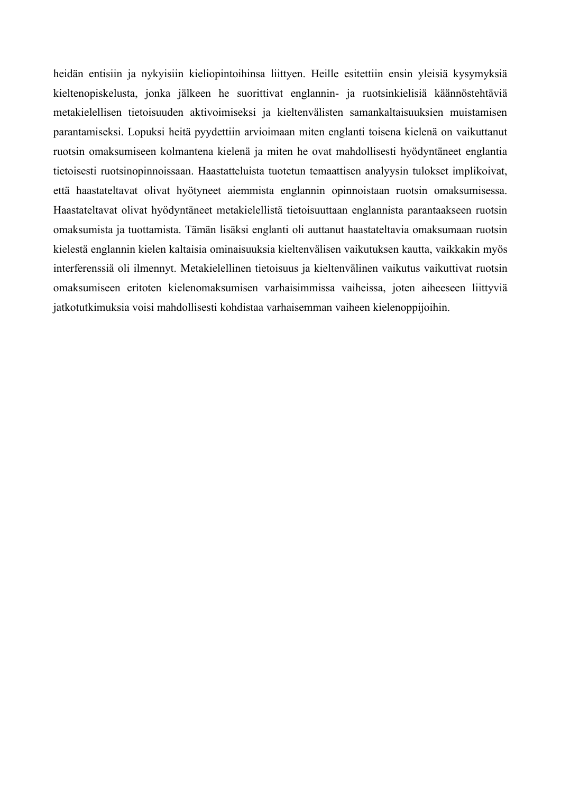heidän entisiin ja nykyisiin kieliopintoihinsa liittyen. Heille esitettiin ensin yleisiä kysymyksiä kieltenopiskelusta, jonka jälkeen he suorittivat englannin- ja ruotsinkielisiä käännöstehtäviä metakielellisen tietoisuuden aktivoimiseksi ja kieltenvälisten samankaltaisuuksien muistamisen parantamiseksi. Lopuksi heitä pyydettiin arvioimaan miten englanti toisena kielenä on vaikuttanut ruotsin omaksumiseen kolmantena kielenä ja miten he ovat mahdollisesti hyödyntäneet englantia tietoisesti ruotsinopinnoissaan. Haastatteluista tuotetun temaattisen analyysin tulokset implikoivat, että haastateltavat olivat hyötyneet aiemmista englannin opinnoistaan ruotsin omaksumisessa. Haastateltavat olivat hyödyntäneet metakielellistä tietoisuuttaan englannista parantaakseen ruotsin omaksumista ja tuottamista. Tämän lisäksi englanti oli auttanut haastateltavia omaksumaan ruotsin kielestä englannin kielen kaltaisia ominaisuuksia kieltenvälisen vaikutuksen kautta, vaikkakin myös interferenssiä oli ilmennyt. Metakielellinen tietoisuus ja kieltenvälinen vaikutus vaikuttivat ruotsin omaksumiseen eritoten kielenomaksumisen varhaisimmissa vaiheissa, joten aiheeseen liittyviä jatkotutkimuksia voisi mahdollisesti kohdistaa varhaisemman vaiheen kielenoppijoihin.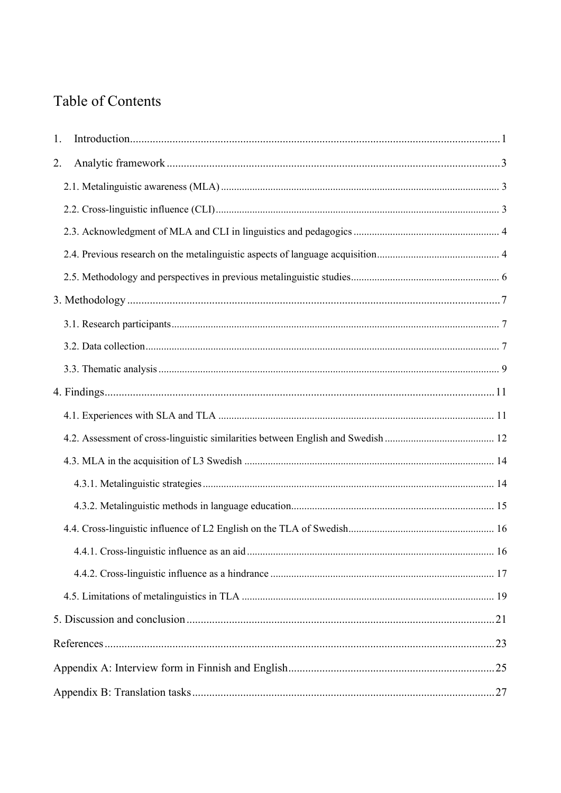# Table of Contents

| 1. |  |
|----|--|
| 2. |  |
|    |  |
|    |  |
|    |  |
|    |  |
|    |  |
|    |  |
|    |  |
|    |  |
|    |  |
|    |  |
|    |  |
|    |  |
|    |  |
|    |  |
|    |  |
|    |  |
|    |  |
|    |  |
|    |  |
|    |  |
|    |  |
|    |  |
|    |  |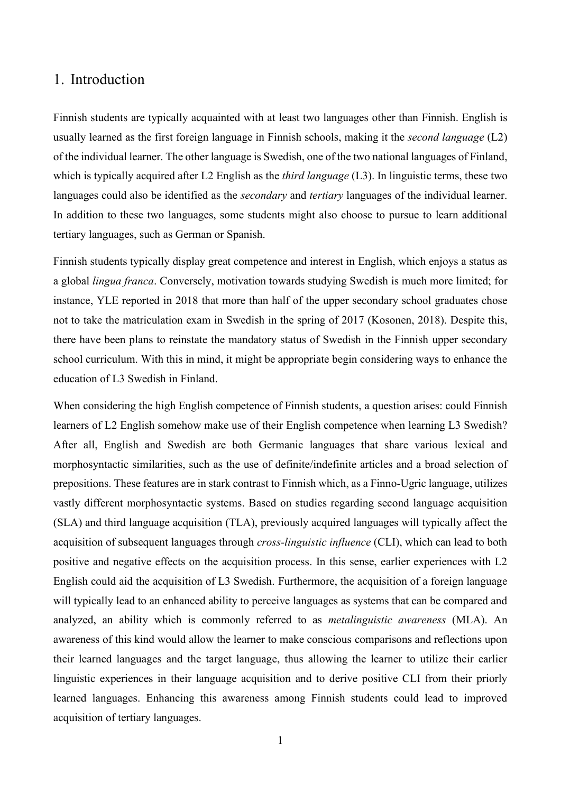## <span id="page-4-0"></span>1. Introduction

Finnish students are typically acquainted with at least two languages other than Finnish. English is usually learned as the first foreign language in Finnish schools, making it the *second language* (L2) of the individual learner. The other language is Swedish, one of the two national languages of Finland, which is typically acquired after L2 English as the *third language* (L3). In linguistic terms, these two languages could also be identified as the *secondary* and *tertiary* languages of the individual learner. In addition to these two languages, some students might also choose to pursue to learn additional tertiary languages, such as German or Spanish.

Finnish students typically display great competence and interest in English, which enjoys a status as a global *lingua franca*. Conversely, motivation towards studying Swedish is much more limited; for instance, YLE reported in 2018 that more than half of the upper secondary school graduates chose not to take the matriculation exam in Swedish in the spring of 2017 (Kosonen, 2018). Despite this, there have been plans to reinstate the mandatory status of Swedish in the Finnish upper secondary school curriculum. With this in mind, it might be appropriate begin considering ways to enhance the education of L3 Swedish in Finland.

When considering the high English competence of Finnish students, a question arises: could Finnish learners of L2 English somehow make use of their English competence when learning L3 Swedish? After all, English and Swedish are both Germanic languages that share various lexical and morphosyntactic similarities, such as the use of definite/indefinite articles and a broad selection of prepositions. These features are in stark contrast to Finnish which, as a Finno-Ugric language, utilizes vastly different morphosyntactic systems. Based on studies regarding second language acquisition (SLA) and third language acquisition (TLA), previously acquired languages will typically affect the acquisition of subsequent languages through *cross-linguistic influence* (CLI), which can lead to both positive and negative effects on the acquisition process. In this sense, earlier experiences with L2 English could aid the acquisition of L3 Swedish. Furthermore, the acquisition of a foreign language will typically lead to an enhanced ability to perceive languages as systems that can be compared and analyzed, an ability which is commonly referred to as *metalinguistic awareness* (MLA). An awareness of this kind would allow the learner to make conscious comparisons and reflections upon their learned languages and the target language, thus allowing the learner to utilize their earlier linguistic experiences in their language acquisition and to derive positive CLI from their priorly learned languages. Enhancing this awareness among Finnish students could lead to improved acquisition of tertiary languages.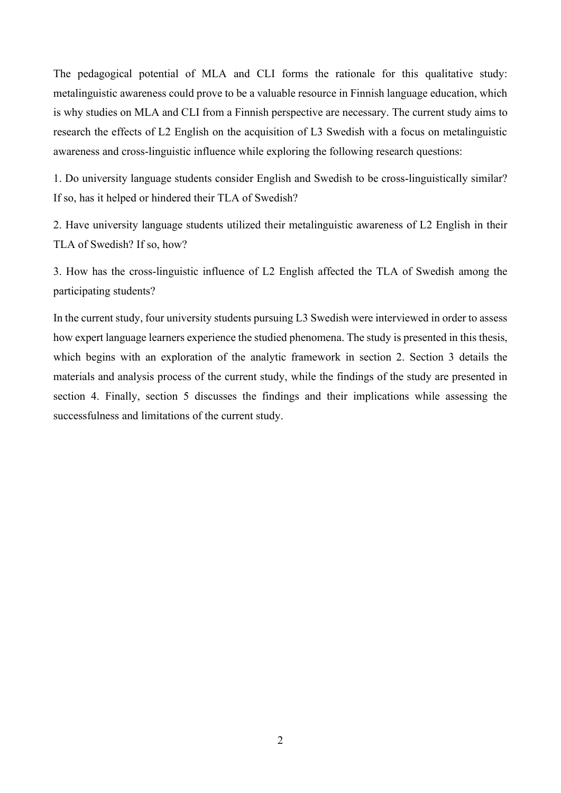The pedagogical potential of MLA and CLI forms the rationale for this qualitative study: metalinguistic awareness could prove to be a valuable resource in Finnish language education, which is why studies on MLA and CLI from a Finnish perspective are necessary. The current study aims to research the effects of L2 English on the acquisition of L3 Swedish with a focus on metalinguistic awareness and cross-linguistic influence while exploring the following research questions:

1. Do university language students consider English and Swedish to be cross-linguistically similar? If so, has it helped or hindered their TLA of Swedish?

2. Have university language students utilized their metalinguistic awareness of L2 English in their TLA of Swedish? If so, how?

3. How has the cross-linguistic influence of L2 English affected the TLA of Swedish among the participating students?

In the current study, four university students pursuing L3 Swedish were interviewed in order to assess how expert language learners experience the studied phenomena. The study is presented in this thesis, which begins with an exploration of the analytic framework in section 2. Section 3 details the materials and analysis process of the current study, while the findings of the study are presented in section 4. Finally, section 5 discusses the findings and their implications while assessing the successfulness and limitations of the current study.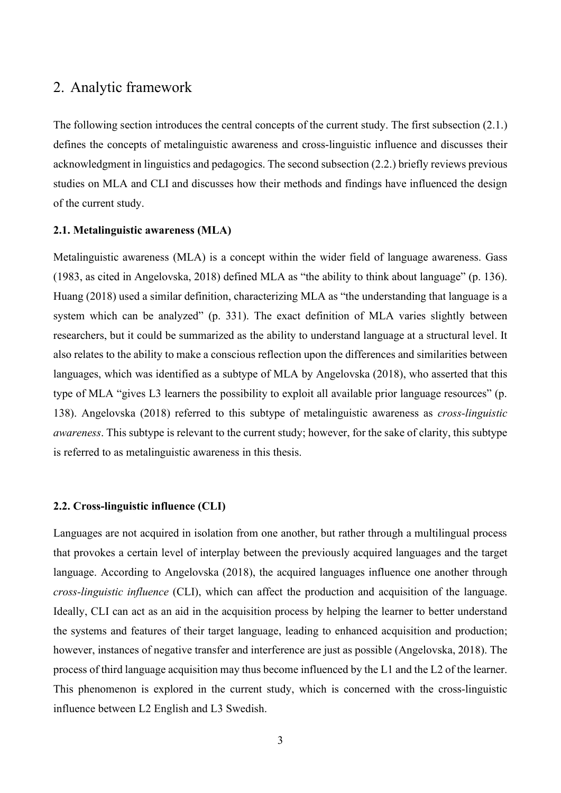## <span id="page-6-0"></span>2. Analytic framework

The following section introduces the central concepts of the current study. The first subsection (2.1.) defines the concepts of metalinguistic awareness and cross-linguistic influence and discusses their acknowledgment in linguistics and pedagogics. The second subsection (2.2.) briefly reviews previous studies on MLA and CLI and discusses how their methods and findings have influenced the design of the current study.

#### <span id="page-6-1"></span>**2.1. Metalinguistic awareness (MLA)**

Metalinguistic awareness (MLA) is a concept within the wider field of language awareness. Gass (1983, as cited in Angelovska, 2018) defined MLA as "the ability to think about language" (p. 136). Huang (2018) used a similar definition, characterizing MLA as "the understanding that language is a system which can be analyzed" (p. 331). The exact definition of MLA varies slightly between researchers, but it could be summarized as the ability to understand language at a structural level. It also relates to the ability to make a conscious reflection upon the differences and similarities between languages, which was identified as a subtype of MLA by Angelovska (2018), who asserted that this type of MLA "gives L3 learners the possibility to exploit all available prior language resources" (p. 138). Angelovska (2018) referred to this subtype of metalinguistic awareness as *cross-linguistic awareness*. This subtype is relevant to the current study; however, for the sake of clarity, this subtype is referred to as metalinguistic awareness in this thesis.

### <span id="page-6-2"></span>**2.2. Cross-linguistic influence (CLI)**

Languages are not acquired in isolation from one another, but rather through a multilingual process that provokes a certain level of interplay between the previously acquired languages and the target language. According to Angelovska (2018), the acquired languages influence one another through *cross-linguistic influence* (CLI), which can affect the production and acquisition of the language. Ideally, CLI can act as an aid in the acquisition process by helping the learner to better understand the systems and features of their target language, leading to enhanced acquisition and production; however, instances of negative transfer and interference are just as possible (Angelovska, 2018). The process of third language acquisition may thus become influenced by the L1 and the L2 of the learner. This phenomenon is explored in the current study, which is concerned with the cross-linguistic influence between L2 English and L3 Swedish.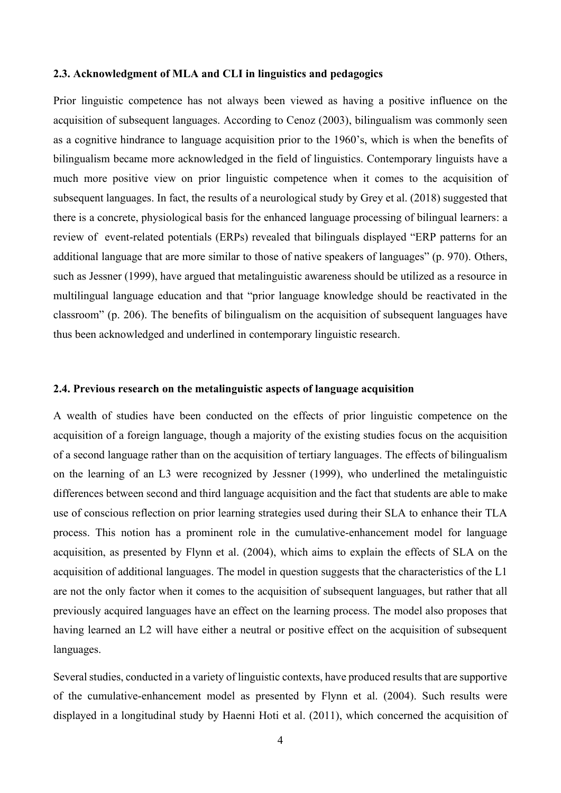### <span id="page-7-0"></span>**2.3. Acknowledgment of MLA and CLI in linguistics and pedagogics**

Prior linguistic competence has not always been viewed as having a positive influence on the acquisition of subsequent languages. According to Cenoz (2003), bilingualism was commonly seen as a cognitive hindrance to language acquisition prior to the 1960's, which is when the benefits of bilingualism became more acknowledged in the field of linguistics. Contemporary linguists have a much more positive view on prior linguistic competence when it comes to the acquisition of subsequent languages. In fact, the results of a neurological study by Grey et al. (2018) suggested that there is a concrete, physiological basis for the enhanced language processing of bilingual learners: a review of event-related potentials (ERPs) revealed that bilinguals displayed "ERP patterns for an additional language that are more similar to those of native speakers of languages" (p. 970). Others, such as Jessner (1999), have argued that metalinguistic awareness should be utilized as a resource in multilingual language education and that "prior language knowledge should be reactivated in the classroom" (p. 206). The benefits of bilingualism on the acquisition of subsequent languages have thus been acknowledged and underlined in contemporary linguistic research.

### <span id="page-7-1"></span>**2.4. Previous research on the metalinguistic aspects of language acquisition**

A wealth of studies have been conducted on the effects of prior linguistic competence on the acquisition of a foreign language, though a majority of the existing studies focus on the acquisition of a second language rather than on the acquisition of tertiary languages. The effects of bilingualism on the learning of an L3 were recognized by Jessner (1999), who underlined the metalinguistic differences between second and third language acquisition and the fact that students are able to make use of conscious reflection on prior learning strategies used during their SLA to enhance their TLA process. This notion has a prominent role in the cumulative-enhancement model for language acquisition, as presented by Flynn et al. (2004), which aims to explain the effects of SLA on the acquisition of additional languages. The model in question suggests that the characteristics of the L1 are not the only factor when it comes to the acquisition of subsequent languages, but rather that all previously acquired languages have an effect on the learning process. The model also proposes that having learned an L2 will have either a neutral or positive effect on the acquisition of subsequent languages.

Several studies, conducted in a variety of linguistic contexts, have produced results that are supportive of the cumulative-enhancement model as presented by Flynn et al. (2004). Such results were displayed in a longitudinal study by Haenni Hoti et al. (2011), which concerned the acquisition of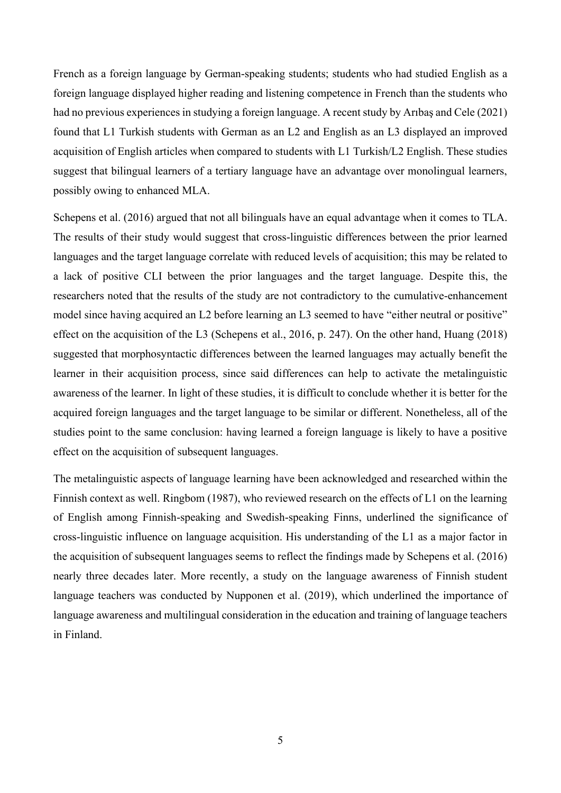French as a foreign language by German-speaking students; students who had studied English as a foreign language displayed higher reading and listening competence in French than the students who had no previous experiences in studying a foreign language. A recent study by Arıbaş and Cele (2021) found that L1 Turkish students with German as an L2 and English as an L3 displayed an improved acquisition of English articles when compared to students with L1 Turkish/L2 English. These studies suggest that bilingual learners of a tertiary language have an advantage over monolingual learners, possibly owing to enhanced MLA.

Schepens et al. (2016) argued that not all bilinguals have an equal advantage when it comes to TLA. The results of their study would suggest that cross-linguistic differences between the prior learned languages and the target language correlate with reduced levels of acquisition; this may be related to a lack of positive CLI between the prior languages and the target language. Despite this, the researchers noted that the results of the study are not contradictory to the cumulative-enhancement model since having acquired an L2 before learning an L3 seemed to have "either neutral or positive" effect on the acquisition of the L3 (Schepens et al., 2016, p. 247). On the other hand, Huang (2018) suggested that morphosyntactic differences between the learned languages may actually benefit the learner in their acquisition process, since said differences can help to activate the metalinguistic awareness of the learner. In light of these studies, it is difficult to conclude whether it is better for the acquired foreign languages and the target language to be similar or different. Nonetheless, all of the studies point to the same conclusion: having learned a foreign language is likely to have a positive effect on the acquisition of subsequent languages.

The metalinguistic aspects of language learning have been acknowledged and researched within the Finnish context as well. Ringbom (1987), who reviewed research on the effects of L1 on the learning of English among Finnish-speaking and Swedish-speaking Finns, underlined the significance of cross-linguistic influence on language acquisition. His understanding of the L1 as a major factor in the acquisition of subsequent languages seems to reflect the findings made by Schepens et al. (2016) nearly three decades later. More recently, a study on the language awareness of Finnish student language teachers was conducted by Nupponen et al. (2019), which underlined the importance of language awareness and multilingual consideration in the education and training of language teachers in Finland.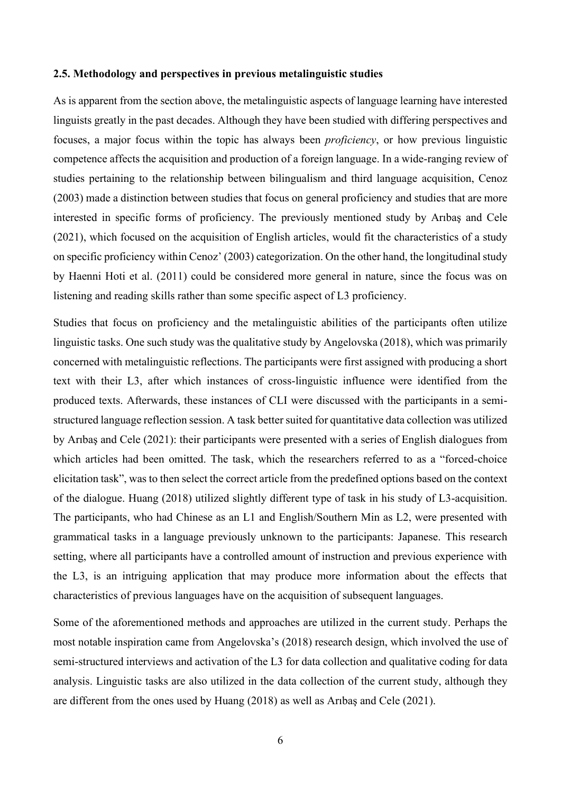### <span id="page-9-0"></span>**2.5. Methodology and perspectives in previous metalinguistic studies**

As is apparent from the section above, the metalinguistic aspects of language learning have interested linguists greatly in the past decades. Although they have been studied with differing perspectives and focuses, a major focus within the topic has always been *proficiency*, or how previous linguistic competence affects the acquisition and production of a foreign language. In a wide-ranging review of studies pertaining to the relationship between bilingualism and third language acquisition, Cenoz (2003) made a distinction between studies that focus on general proficiency and studies that are more interested in specific forms of proficiency. The previously mentioned study by Arıbaş and Cele (2021), which focused on the acquisition of English articles, would fit the characteristics of a study on specific proficiency within Cenoz' (2003) categorization. On the other hand, the longitudinal study by Haenni Hoti et al. (2011) could be considered more general in nature, since the focus was on listening and reading skills rather than some specific aspect of L3 proficiency.

Studies that focus on proficiency and the metalinguistic abilities of the participants often utilize linguistic tasks. One such study was the qualitative study by Angelovska (2018), which was primarily concerned with metalinguistic reflections. The participants were first assigned with producing a short text with their L3, after which instances of cross-linguistic influence were identified from the produced texts. Afterwards, these instances of CLI were discussed with the participants in a semistructured language reflection session. A task better suited for quantitative data collection was utilized by Arıbaş and Cele (2021): their participants were presented with a series of English dialogues from which articles had been omitted. The task, which the researchers referred to as a "forced-choice elicitation task", was to then select the correct article from the predefined options based on the context of the dialogue. Huang (2018) utilized slightly different type of task in his study of L3-acquisition. The participants, who had Chinese as an L1 and English/Southern Min as L2, were presented with grammatical tasks in a language previously unknown to the participants: Japanese. This research setting, where all participants have a controlled amount of instruction and previous experience with the L3, is an intriguing application that may produce more information about the effects that characteristics of previous languages have on the acquisition of subsequent languages.

Some of the aforementioned methods and approaches are utilized in the current study. Perhaps the most notable inspiration came from Angelovska's (2018) research design, which involved the use of semi-structured interviews and activation of the L3 for data collection and qualitative coding for data analysis. Linguistic tasks are also utilized in the data collection of the current study, although they are different from the ones used by Huang (2018) as well as Arıbaş and Cele (2021).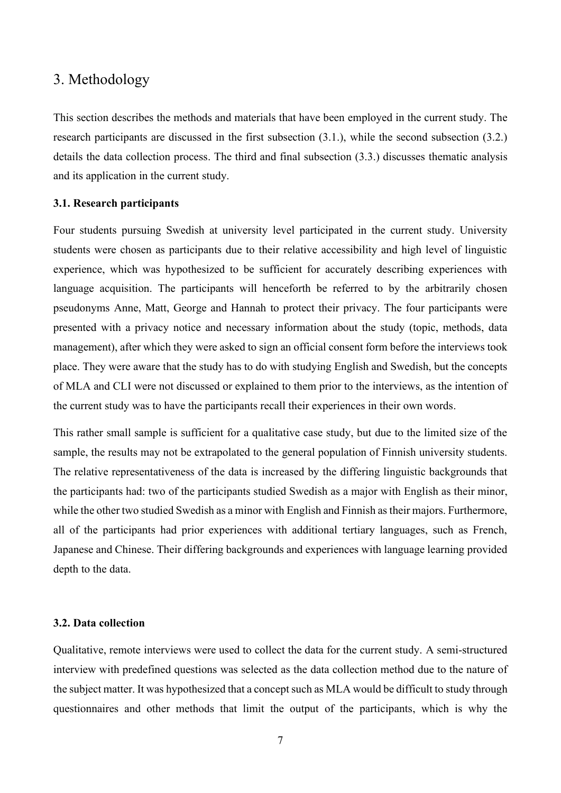## <span id="page-10-0"></span>3. Methodology

This section describes the methods and materials that have been employed in the current study. The research participants are discussed in the first subsection (3.1.), while the second subsection (3.2.) details the data collection process. The third and final subsection (3.3.) discusses thematic analysis and its application in the current study.

## <span id="page-10-1"></span>**3.1. Research participants**

Four students pursuing Swedish at university level participated in the current study. University students were chosen as participants due to their relative accessibility and high level of linguistic experience, which was hypothesized to be sufficient for accurately describing experiences with language acquisition. The participants will henceforth be referred to by the arbitrarily chosen pseudonyms Anne, Matt, George and Hannah to protect their privacy. The four participants were presented with a privacy notice and necessary information about the study (topic, methods, data management), after which they were asked to sign an official consent form before the interviews took place. They were aware that the study has to do with studying English and Swedish, but the concepts of MLA and CLI were not discussed or explained to them prior to the interviews, as the intention of the current study was to have the participants recall their experiences in their own words.

This rather small sample is sufficient for a qualitative case study, but due to the limited size of the sample, the results may not be extrapolated to the general population of Finnish university students. The relative representativeness of the data is increased by the differing linguistic backgrounds that the participants had: two of the participants studied Swedish as a major with English as their minor, while the other two studied Swedish as a minor with English and Finnish as their majors. Furthermore, all of the participants had prior experiences with additional tertiary languages, such as French, Japanese and Chinese. Their differing backgrounds and experiences with language learning provided depth to the data.

### <span id="page-10-2"></span>**3.2. Data collection**

Qualitative, remote interviews were used to collect the data for the current study. A semi-structured interview with predefined questions was selected as the data collection method due to the nature of the subject matter. It was hypothesized that a concept such as MLA would be difficult to study through questionnaires and other methods that limit the output of the participants, which is why the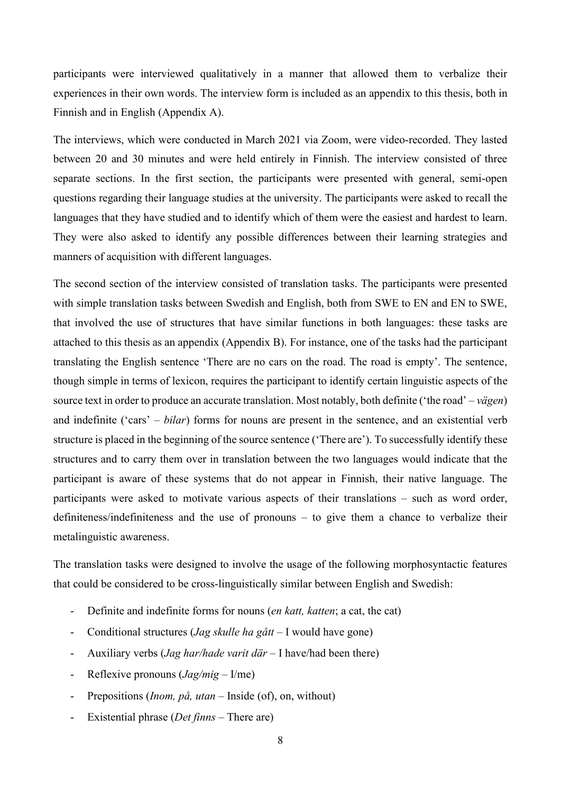participants were interviewed qualitatively in a manner that allowed them to verbalize their experiences in their own words. The interview form is included as an appendix to this thesis, both in Finnish and in English (Appendix A).

The interviews, which were conducted in March 2021 via Zoom, were video-recorded. They lasted between 20 and 30 minutes and were held entirely in Finnish. The interview consisted of three separate sections. In the first section, the participants were presented with general, semi-open questions regarding their language studies at the university. The participants were asked to recall the languages that they have studied and to identify which of them were the easiest and hardest to learn. They were also asked to identify any possible differences between their learning strategies and manners of acquisition with different languages.

The second section of the interview consisted of translation tasks. The participants were presented with simple translation tasks between Swedish and English, both from SWE to EN and EN to SWE, that involved the use of structures that have similar functions in both languages: these tasks are attached to this thesis as an appendix (Appendix B). For instance, one of the tasks had the participant translating the English sentence 'There are no cars on the road. The road is empty'. The sentence, though simple in terms of lexicon, requires the participant to identify certain linguistic aspects of the source text in order to produce an accurate translation. Most notably, both definite ('the road' – *vägen*) and indefinite ('cars' – *bilar*) forms for nouns are present in the sentence, and an existential verb structure is placed in the beginning of the source sentence ('There are'). To successfully identify these structures and to carry them over in translation between the two languages would indicate that the participant is aware of these systems that do not appear in Finnish, their native language. The participants were asked to motivate various aspects of their translations – such as word order, definiteness/indefiniteness and the use of pronouns – to give them a chance to verbalize their metalinguistic awareness.

The translation tasks were designed to involve the usage of the following morphosyntactic features that could be considered to be cross-linguistically similar between English and Swedish:

- Definite and indefinite forms for nouns (*en katt, katten*; a cat, the cat)
- Conditional structures (*Jag skulle ha gått* I would have gone)
- Auxiliary verbs (*Jag har/hade varit där* I have/had been there)
- Reflexive pronouns (*Jag/mig* I/me)
- Prepositions (*Inom, på, utan* Inside (of), on, without)
- Existential phrase (*Det finns* There are)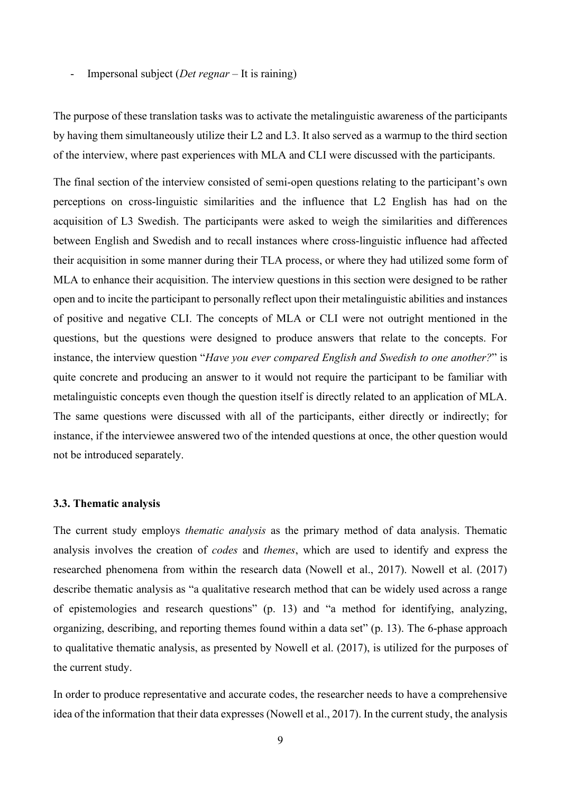- Impersonal subject (*Det regnar* – It is raining)

The purpose of these translation tasks was to activate the metalinguistic awareness of the participants by having them simultaneously utilize their L2 and L3. It also served as a warmup to the third section of the interview, where past experiences with MLA and CLI were discussed with the participants.

The final section of the interview consisted of semi-open questions relating to the participant's own perceptions on cross-linguistic similarities and the influence that L2 English has had on the acquisition of L3 Swedish. The participants were asked to weigh the similarities and differences between English and Swedish and to recall instances where cross-linguistic influence had affected their acquisition in some manner during their TLA process, or where they had utilized some form of MLA to enhance their acquisition. The interview questions in this section were designed to be rather open and to incite the participant to personally reflect upon their metalinguistic abilities and instances of positive and negative CLI. The concepts of MLA or CLI were not outright mentioned in the questions, but the questions were designed to produce answers that relate to the concepts. For instance, the interview question "*Have you ever compared English and Swedish to one another?*" is quite concrete and producing an answer to it would not require the participant to be familiar with metalinguistic concepts even though the question itself is directly related to an application of MLA. The same questions were discussed with all of the participants, either directly or indirectly; for instance, if the interviewee answered two of the intended questions at once, the other question would not be introduced separately.

#### <span id="page-12-0"></span>**3.3. Thematic analysis**

The current study employs *thematic analysis* as the primary method of data analysis. Thematic analysis involves the creation of *codes* and *themes*, which are used to identify and express the researched phenomena from within the research data (Nowell et al., 2017). Nowell et al. (2017) describe thematic analysis as "a qualitative research method that can be widely used across a range of epistemologies and research questions" (p. 13) and "a method for identifying, analyzing, organizing, describing, and reporting themes found within a data set" (p. 13). The 6-phase approach to qualitative thematic analysis, as presented by Nowell et al. (2017), is utilized for the purposes of the current study.

In order to produce representative and accurate codes, the researcher needs to have a comprehensive idea of the information that their data expresses (Nowell et al., 2017). In the current study, the analysis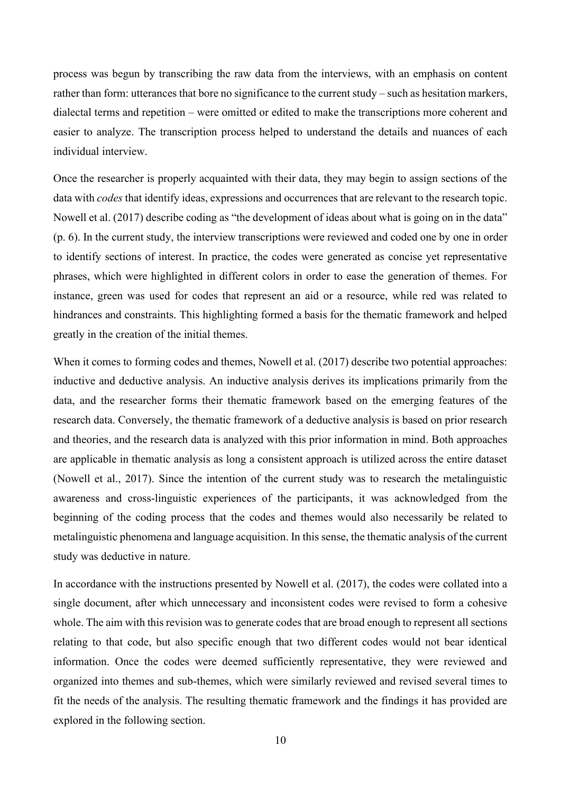process was begun by transcribing the raw data from the interviews, with an emphasis on content rather than form: utterances that bore no significance to the current study – such as hesitation markers, dialectal terms and repetition – were omitted or edited to make the transcriptions more coherent and easier to analyze. The transcription process helped to understand the details and nuances of each individual interview.

Once the researcher is properly acquainted with their data, they may begin to assign sections of the data with *codes* that identify ideas, expressions and occurrences that are relevant to the research topic. Nowell et al. (2017) describe coding as "the development of ideas about what is going on in the data" (p. 6). In the current study, the interview transcriptions were reviewed and coded one by one in order to identify sections of interest. In practice, the codes were generated as concise yet representative phrases, which were highlighted in different colors in order to ease the generation of themes. For instance, green was used for codes that represent an aid or a resource, while red was related to hindrances and constraints. This highlighting formed a basis for the thematic framework and helped greatly in the creation of the initial themes.

When it comes to forming codes and themes, Nowell et al. (2017) describe two potential approaches: inductive and deductive analysis. An inductive analysis derives its implications primarily from the data, and the researcher forms their thematic framework based on the emerging features of the research data. Conversely, the thematic framework of a deductive analysis is based on prior research and theories, and the research data is analyzed with this prior information in mind. Both approaches are applicable in thematic analysis as long a consistent approach is utilized across the entire dataset (Nowell et al., 2017). Since the intention of the current study was to research the metalinguistic awareness and cross-linguistic experiences of the participants, it was acknowledged from the beginning of the coding process that the codes and themes would also necessarily be related to metalinguistic phenomena and language acquisition. In this sense, the thematic analysis of the current study was deductive in nature.

In accordance with the instructions presented by Nowell et al. (2017), the codes were collated into a single document, after which unnecessary and inconsistent codes were revised to form a cohesive whole. The aim with this revision was to generate codes that are broad enough to represent all sections relating to that code, but also specific enough that two different codes would not bear identical information. Once the codes were deemed sufficiently representative, they were reviewed and organized into themes and sub-themes, which were similarly reviewed and revised several times to fit the needs of the analysis. The resulting thematic framework and the findings it has provided are explored in the following section.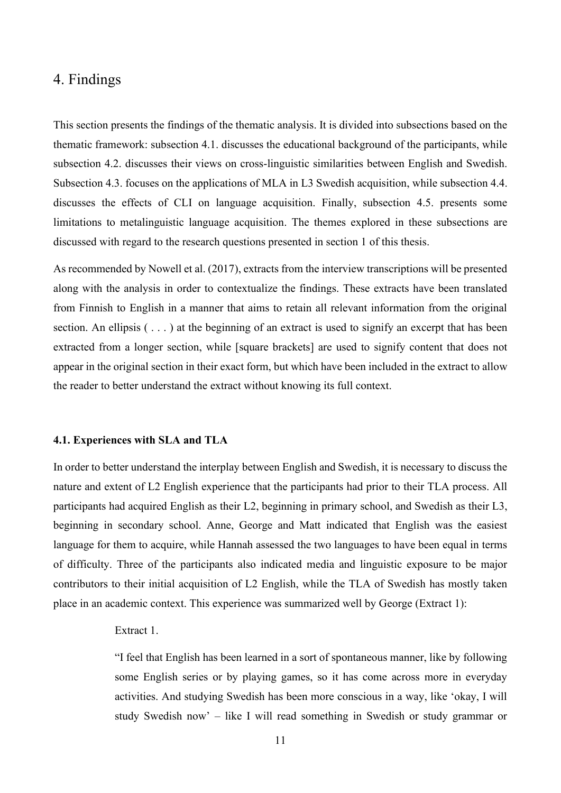## <span id="page-14-0"></span>4. Findings

This section presents the findings of the thematic analysis. It is divided into subsections based on the thematic framework: subsection 4.1. discusses the educational background of the participants, while subsection 4.2. discusses their views on cross-linguistic similarities between English and Swedish. Subsection 4.3. focuses on the applications of MLA in L3 Swedish acquisition, while subsection 4.4. discusses the effects of CLI on language acquisition. Finally, subsection 4.5. presents some limitations to metalinguistic language acquisition. The themes explored in these subsections are discussed with regard to the research questions presented in section 1 of this thesis.

As recommended by Nowell et al. (2017), extracts from the interview transcriptions will be presented along with the analysis in order to contextualize the findings. These extracts have been translated from Finnish to English in a manner that aims to retain all relevant information from the original section. An ellipsis  $(\ldots)$  at the beginning of an extract is used to signify an excerpt that has been extracted from a longer section, while [square brackets] are used to signify content that does not appear in the original section in their exact form, but which have been included in the extract to allow the reader to better understand the extract without knowing its full context.

#### <span id="page-14-1"></span>**4.1. Experiences with SLA and TLA**

In order to better understand the interplay between English and Swedish, it is necessary to discuss the nature and extent of L2 English experience that the participants had prior to their TLA process. All participants had acquired English as their L2, beginning in primary school, and Swedish as their L3, beginning in secondary school. Anne, George and Matt indicated that English was the easiest language for them to acquire, while Hannah assessed the two languages to have been equal in terms of difficulty. Three of the participants also indicated media and linguistic exposure to be major contributors to their initial acquisition of L2 English, while the TLA of Swedish has mostly taken place in an academic context. This experience was summarized well by George (Extract 1):

### Extract 1.

"I feel that English has been learned in a sort of spontaneous manner, like by following some English series or by playing games, so it has come across more in everyday activities. And studying Swedish has been more conscious in a way, like 'okay, I will study Swedish now' – like I will read something in Swedish or study grammar or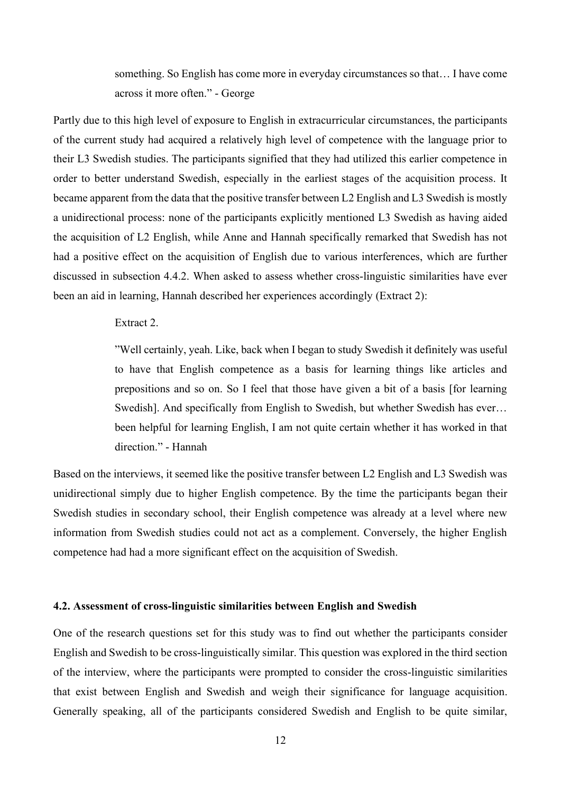something. So English has come more in everyday circumstances so that… I have come across it more often." - George

Partly due to this high level of exposure to English in extracurricular circumstances, the participants of the current study had acquired a relatively high level of competence with the language prior to their L3 Swedish studies. The participants signified that they had utilized this earlier competence in order to better understand Swedish, especially in the earliest stages of the acquisition process. It became apparent from the data that the positive transfer between L2 English and L3 Swedish is mostly a unidirectional process: none of the participants explicitly mentioned L3 Swedish as having aided the acquisition of L2 English, while Anne and Hannah specifically remarked that Swedish has not had a positive effect on the acquisition of English due to various interferences, which are further discussed in subsection 4.4.2. When asked to assess whether cross-linguistic similarities have ever been an aid in learning, Hannah described her experiences accordingly (Extract 2):

#### Extract 2.

"Well certainly, yeah. Like, back when I began to study Swedish it definitely was useful to have that English competence as a basis for learning things like articles and prepositions and so on. So I feel that those have given a bit of a basis [for learning Swedish]. And specifically from English to Swedish, but whether Swedish has ever… been helpful for learning English, I am not quite certain whether it has worked in that direction." - Hannah

Based on the interviews, it seemed like the positive transfer between L2 English and L3 Swedish was unidirectional simply due to higher English competence. By the time the participants began their Swedish studies in secondary school, their English competence was already at a level where new information from Swedish studies could not act as a complement. Conversely, the higher English competence had had a more significant effect on the acquisition of Swedish.

### <span id="page-15-0"></span>**4.2. Assessment of cross-linguistic similarities between English and Swedish**

One of the research questions set for this study was to find out whether the participants consider English and Swedish to be cross-linguistically similar. This question was explored in the third section of the interview, where the participants were prompted to consider the cross-linguistic similarities that exist between English and Swedish and weigh their significance for language acquisition. Generally speaking, all of the participants considered Swedish and English to be quite similar,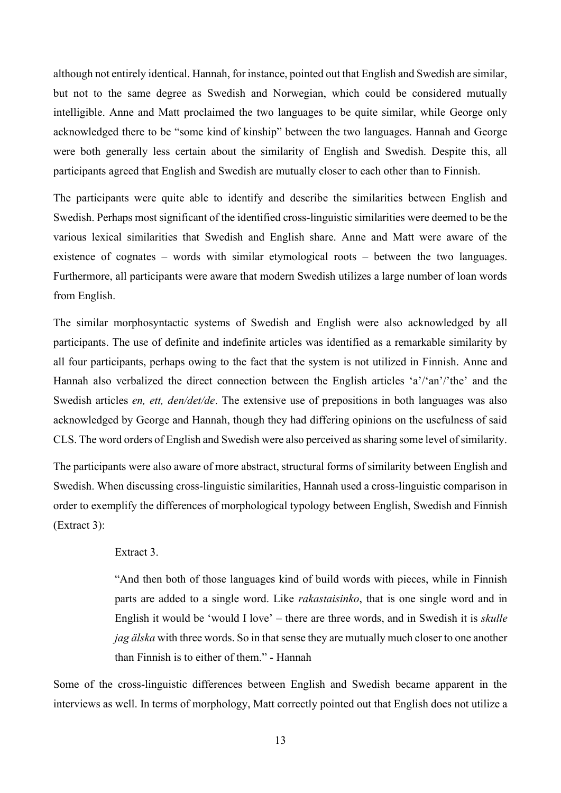although not entirely identical. Hannah, for instance, pointed out that English and Swedish are similar, but not to the same degree as Swedish and Norwegian, which could be considered mutually intelligible. Anne and Matt proclaimed the two languages to be quite similar, while George only acknowledged there to be "some kind of kinship" between the two languages. Hannah and George were both generally less certain about the similarity of English and Swedish. Despite this, all participants agreed that English and Swedish are mutually closer to each other than to Finnish.

The participants were quite able to identify and describe the similarities between English and Swedish. Perhaps most significant of the identified cross-linguistic similarities were deemed to be the various lexical similarities that Swedish and English share. Anne and Matt were aware of the existence of cognates – words with similar etymological roots – between the two languages. Furthermore, all participants were aware that modern Swedish utilizes a large number of loan words from English.

The similar morphosyntactic systems of Swedish and English were also acknowledged by all participants. The use of definite and indefinite articles was identified as a remarkable similarity by all four participants, perhaps owing to the fact that the system is not utilized in Finnish. Anne and Hannah also verbalized the direct connection between the English articles 'a'/'an'/'the' and the Swedish articles *en, ett, den/det/de*. The extensive use of prepositions in both languages was also acknowledged by George and Hannah, though they had differing opinions on the usefulness of said CLS. The word orders of English and Swedish were also perceived as sharing some level of similarity.

The participants were also aware of more abstract, structural forms of similarity between English and Swedish. When discussing cross-linguistic similarities, Hannah used a cross-linguistic comparison in order to exemplify the differences of morphological typology between English, Swedish and Finnish (Extract 3):

#### Extract 3.

"And then both of those languages kind of build words with pieces, while in Finnish parts are added to a single word. Like *rakastaisinko*, that is one single word and in English it would be 'would I love' – there are three words, and in Swedish it is *skulle jag älska* with three words. So in that sense they are mutually much closer to one another than Finnish is to either of them." - Hannah

Some of the cross-linguistic differences between English and Swedish became apparent in the interviews as well. In terms of morphology, Matt correctly pointed out that English does not utilize a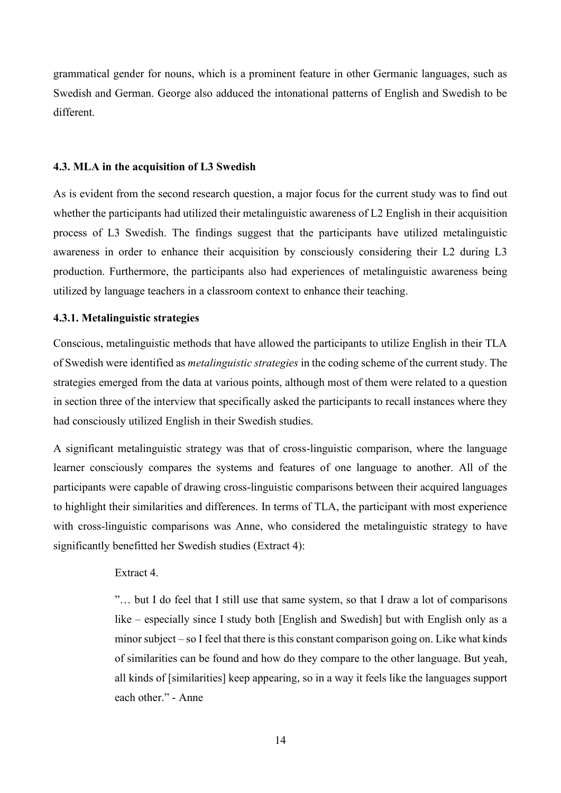grammatical gender for nouns, which is a prominent feature in other Germanic languages, such as Swedish and German. George also adduced the intonational patterns of English and Swedish to be different.

#### <span id="page-17-0"></span>**4.3. MLA in the acquisition of L3 Swedish**

As is evident from the second research question, a major focus for the current study was to find out whether the participants had utilized their metalinguistic awareness of L2 English in their acquisition process of L3 Swedish. The findings suggest that the participants have utilized metalinguistic awareness in order to enhance their acquisition by consciously considering their L2 during L3 production. Furthermore, the participants also had experiences of metalinguistic awareness being utilized by language teachers in a classroom context to enhance their teaching.

## <span id="page-17-1"></span>**4.3.1. Metalinguistic strategies**

Conscious, metalinguistic methods that have allowed the participants to utilize English in their TLA of Swedish were identified as *metalinguistic strategies* in the coding scheme of the current study. The strategies emerged from the data at various points, although most of them were related to a question in section three of the interview that specifically asked the participants to recall instances where they had consciously utilized English in their Swedish studies.

A significant metalinguistic strategy was that of cross-linguistic comparison, where the language learner consciously compares the systems and features of one language to another. All of the participants were capable of drawing cross-linguistic comparisons between their acquired languages to highlight their similarities and differences. In terms of TLA, the participant with most experience with cross-linguistic comparisons was Anne, who considered the metalinguistic strategy to have significantly benefitted her Swedish studies (Extract 4):

## Extract 4.

"… but I do feel that I still use that same system, so that I draw a lot of comparisons like – especially since I study both [English and Swedish] but with English only as a minor subject – so I feel that there is this constant comparison going on. Like what kinds of similarities can be found and how do they compare to the other language. But yeah, all kinds of [similarities] keep appearing, so in a way it feels like the languages support each other." - Anne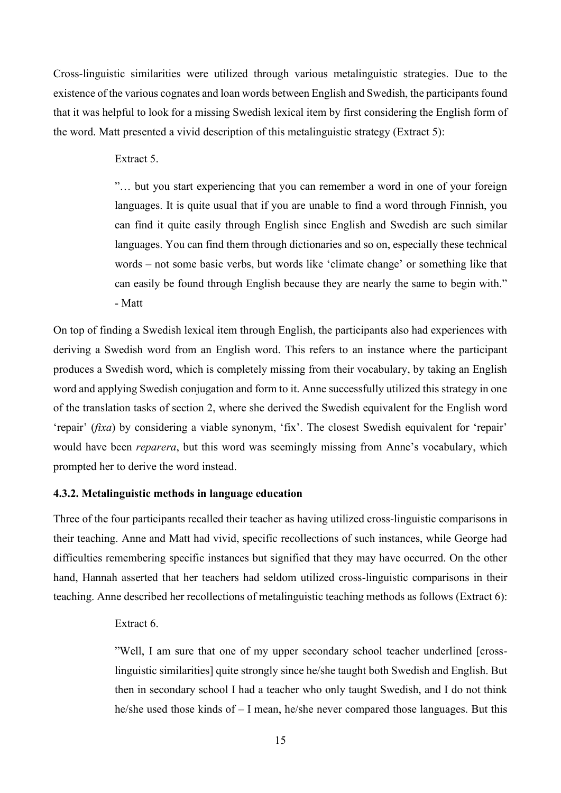Cross-linguistic similarities were utilized through various metalinguistic strategies. Due to the existence of the various cognates and loan words between English and Swedish, the participants found that it was helpful to look for a missing Swedish lexical item by first considering the English form of the word. Matt presented a vivid description of this metalinguistic strategy (Extract 5):

## Extract 5.

"… but you start experiencing that you can remember a word in one of your foreign languages. It is quite usual that if you are unable to find a word through Finnish, you can find it quite easily through English since English and Swedish are such similar languages. You can find them through dictionaries and so on, especially these technical words – not some basic verbs, but words like 'climate change' or something like that can easily be found through English because they are nearly the same to begin with." - Matt

On top of finding a Swedish lexical item through English, the participants also had experiences with deriving a Swedish word from an English word. This refers to an instance where the participant produces a Swedish word, which is completely missing from their vocabulary, by taking an English word and applying Swedish conjugation and form to it. Anne successfully utilized this strategy in one of the translation tasks of section 2, where she derived the Swedish equivalent for the English word 'repair' (*fixa*) by considering a viable synonym, 'fix'. The closest Swedish equivalent for 'repair' would have been *reparera*, but this word was seemingly missing from Anne's vocabulary, which prompted her to derive the word instead.

## <span id="page-18-0"></span>**4.3.2. Metalinguistic methods in language education**

Three of the four participants recalled their teacher as having utilized cross-linguistic comparisons in their teaching. Anne and Matt had vivid, specific recollections of such instances, while George had difficulties remembering specific instances but signified that they may have occurred. On the other hand, Hannah asserted that her teachers had seldom utilized cross-linguistic comparisons in their teaching. Anne described her recollections of metalinguistic teaching methods as follows (Extract 6):

### Extract 6.

"Well, I am sure that one of my upper secondary school teacher underlined [crosslinguistic similarities] quite strongly since he/she taught both Swedish and English. But then in secondary school I had a teacher who only taught Swedish, and I do not think he/she used those kinds of – I mean, he/she never compared those languages. But this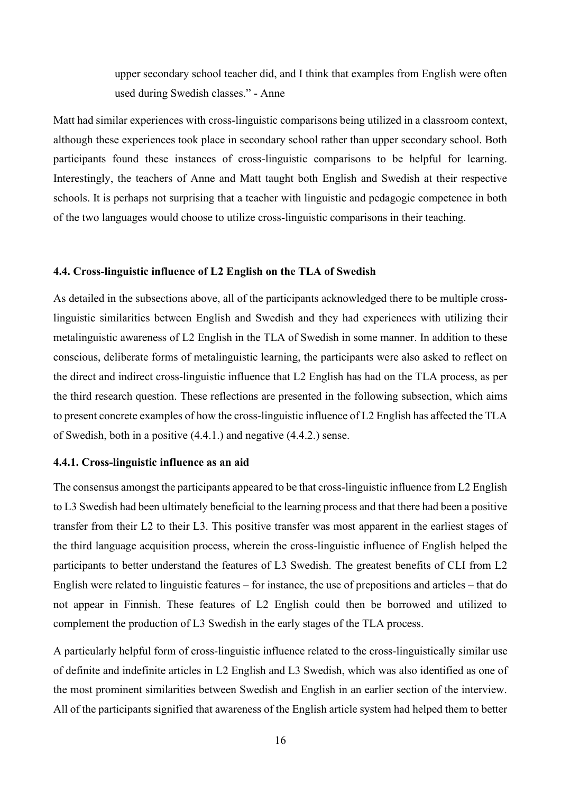upper secondary school teacher did, and I think that examples from English were often used during Swedish classes." - Anne

Matt had similar experiences with cross-linguistic comparisons being utilized in a classroom context, although these experiences took place in secondary school rather than upper secondary school. Both participants found these instances of cross-linguistic comparisons to be helpful for learning. Interestingly, the teachers of Anne and Matt taught both English and Swedish at their respective schools. It is perhaps not surprising that a teacher with linguistic and pedagogic competence in both of the two languages would choose to utilize cross-linguistic comparisons in their teaching.

#### <span id="page-19-0"></span>**4.4. Cross-linguistic influence of L2 English on the TLA of Swedish**

As detailed in the subsections above, all of the participants acknowledged there to be multiple crosslinguistic similarities between English and Swedish and they had experiences with utilizing their metalinguistic awareness of L2 English in the TLA of Swedish in some manner. In addition to these conscious, deliberate forms of metalinguistic learning, the participants were also asked to reflect on the direct and indirect cross-linguistic influence that L2 English has had on the TLA process, as per the third research question. These reflections are presented in the following subsection, which aims to present concrete examples of how the cross-linguistic influence of L2 English has affected the TLA of Swedish, both in a positive (4.4.1.) and negative (4.4.2.) sense.

### <span id="page-19-1"></span>**4.4.1. Cross-linguistic influence as an aid**

The consensus amongst the participants appeared to be that cross-linguistic influence from L2 English to L3 Swedish had been ultimately beneficial to the learning process and that there had been a positive transfer from their L2 to their L3. This positive transfer was most apparent in the earliest stages of the third language acquisition process, wherein the cross-linguistic influence of English helped the participants to better understand the features of L3 Swedish. The greatest benefits of CLI from L2 English were related to linguistic features – for instance, the use of prepositions and articles – that do not appear in Finnish. These features of L2 English could then be borrowed and utilized to complement the production of L3 Swedish in the early stages of the TLA process.

A particularly helpful form of cross-linguistic influence related to the cross-linguistically similar use of definite and indefinite articles in L2 English and L3 Swedish, which was also identified as one of the most prominent similarities between Swedish and English in an earlier section of the interview. All of the participants signified that awareness of the English article system had helped them to better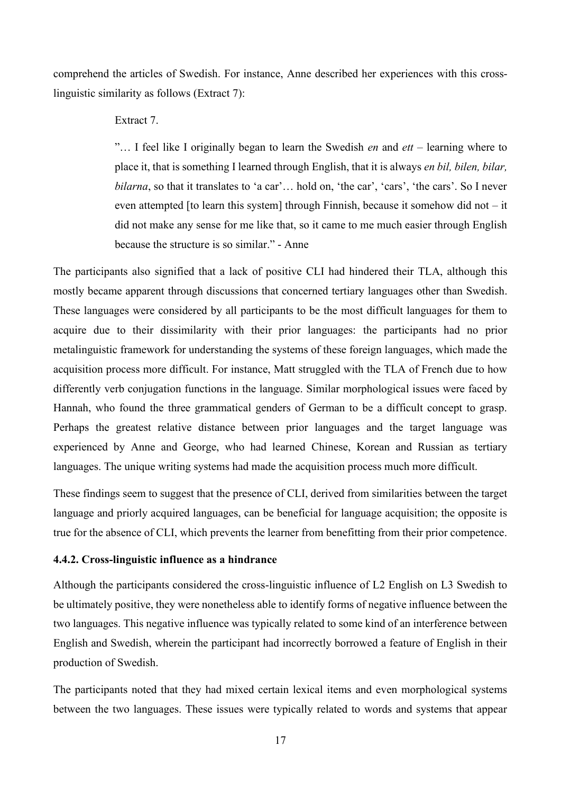comprehend the articles of Swedish. For instance, Anne described her experiences with this crosslinguistic similarity as follows (Extract 7):

## Extract 7.

"… I feel like I originally began to learn the Swedish *en* and *ett* – learning where to place it, that is something I learned through English, that it is always *en bil, bilen, bilar, bilarna*, so that it translates to 'a car'... hold on, 'the car', 'cars', 'the cars'. So I never even attempted [to learn this system] through Finnish, because it somehow did not  $-$  it did not make any sense for me like that, so it came to me much easier through English because the structure is so similar." - Anne

The participants also signified that a lack of positive CLI had hindered their TLA, although this mostly became apparent through discussions that concerned tertiary languages other than Swedish. These languages were considered by all participants to be the most difficult languages for them to acquire due to their dissimilarity with their prior languages: the participants had no prior metalinguistic framework for understanding the systems of these foreign languages, which made the acquisition process more difficult. For instance, Matt struggled with the TLA of French due to how differently verb conjugation functions in the language. Similar morphological issues were faced by Hannah, who found the three grammatical genders of German to be a difficult concept to grasp. Perhaps the greatest relative distance between prior languages and the target language was experienced by Anne and George, who had learned Chinese, Korean and Russian as tertiary languages. The unique writing systems had made the acquisition process much more difficult.

These findings seem to suggest that the presence of CLI, derived from similarities between the target language and priorly acquired languages, can be beneficial for language acquisition; the opposite is true for the absence of CLI, which prevents the learner from benefitting from their prior competence.

## <span id="page-20-0"></span>**4.4.2. Cross-linguistic influence as a hindrance**

Although the participants considered the cross-linguistic influence of L2 English on L3 Swedish to be ultimately positive, they were nonetheless able to identify forms of negative influence between the two languages. This negative influence was typically related to some kind of an interference between English and Swedish, wherein the participant had incorrectly borrowed a feature of English in their production of Swedish.

The participants noted that they had mixed certain lexical items and even morphological systems between the two languages. These issues were typically related to words and systems that appear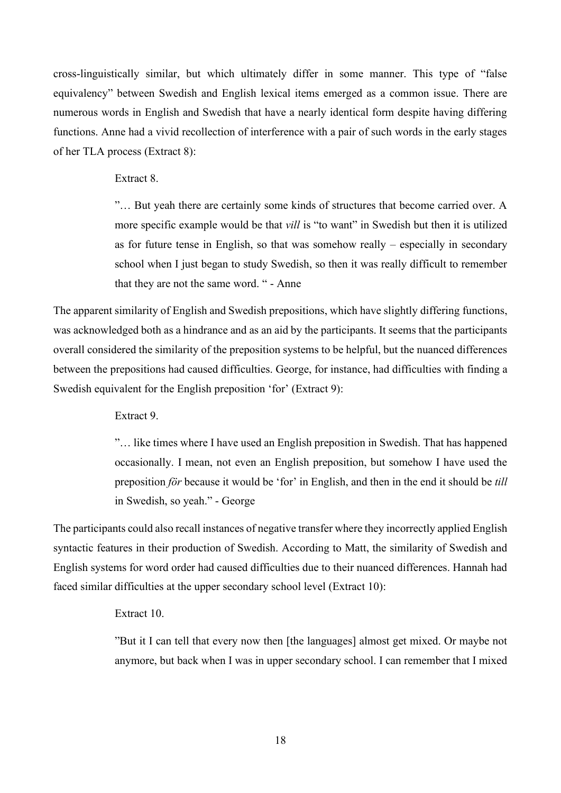cross-linguistically similar, but which ultimately differ in some manner. This type of "false equivalency" between Swedish and English lexical items emerged as a common issue. There are numerous words in English and Swedish that have a nearly identical form despite having differing functions. Anne had a vivid recollection of interference with a pair of such words in the early stages of her TLA process (Extract 8):

Extract 8.

"… But yeah there are certainly some kinds of structures that become carried over. A more specific example would be that *vill* is "to want" in Swedish but then it is utilized as for future tense in English, so that was somehow really – especially in secondary school when I just began to study Swedish, so then it was really difficult to remember that they are not the same word. " - Anne

The apparent similarity of English and Swedish prepositions, which have slightly differing functions, was acknowledged both as a hindrance and as an aid by the participants. It seems that the participants overall considered the similarity of the preposition systems to be helpful, but the nuanced differences between the prepositions had caused difficulties. George, for instance, had difficulties with finding a Swedish equivalent for the English preposition 'for' (Extract 9):

Extract 9.

"… like times where I have used an English preposition in Swedish. That has happened occasionally. I mean, not even an English preposition, but somehow I have used the preposition *för* because it would be 'for' in English, and then in the end it should be *till*  in Swedish, so yeah." - George

The participants could also recall instances of negative transfer where they incorrectly applied English syntactic features in their production of Swedish. According to Matt, the similarity of Swedish and English systems for word order had caused difficulties due to their nuanced differences. Hannah had faced similar difficulties at the upper secondary school level (Extract 10):

Extract 10.

"But it I can tell that every now then [the languages] almost get mixed. Or maybe not anymore, but back when I was in upper secondary school. I can remember that I mixed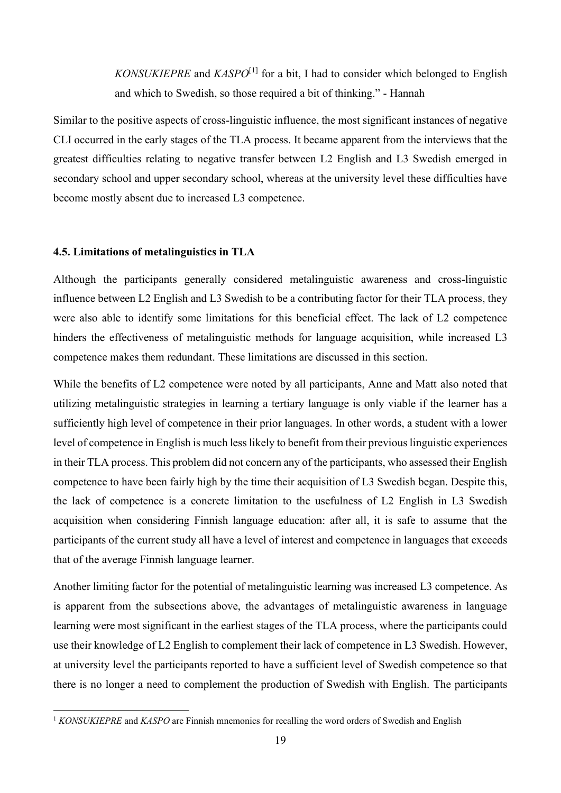*KONSUKIEPRE* and *KASPO*[1] for a bit, I had to consider which belonged to English and which to Swedish, so those required a bit of thinking." - Hannah

Similar to the positive aspects of cross-linguistic influence, the most significant instances of negative CLI occurred in the early stages of the TLA process. It became apparent from the interviews that the greatest difficulties relating to negative transfer between L2 English and L3 Swedish emerged in secondary school and upper secondary school, whereas at the university level these difficulties have become mostly absent due to increased L3 competence.

## <span id="page-22-0"></span>**4.5. Limitations of metalinguistics in TLA**

Although the participants generally considered metalinguistic awareness and cross-linguistic influence between L2 English and L3 Swedish to be a contributing factor for their TLA process, they were also able to identify some limitations for this beneficial effect. The lack of L2 competence hinders the effectiveness of metalinguistic methods for language acquisition, while increased L3 competence makes them redundant. These limitations are discussed in this section.

While the benefits of L2 competence were noted by all participants, Anne and Matt also noted that utilizing metalinguistic strategies in learning a tertiary language is only viable if the learner has a sufficiently high level of competence in their prior languages. In other words, a student with a lower level of competence in English is much less likely to benefit from their previous linguistic experiences in their TLA process. This problem did not concern any of the participants, who assessed their English competence to have been fairly high by the time their acquisition of L3 Swedish began. Despite this, the lack of competence is a concrete limitation to the usefulness of L2 English in L3 Swedish acquisition when considering Finnish language education: after all, it is safe to assume that the participants of the current study all have a level of interest and competence in languages that exceeds that of the average Finnish language learner.

Another limiting factor for the potential of metalinguistic learning was increased L3 competence. As is apparent from the subsections above, the advantages of metalinguistic awareness in language learning were most significant in the earliest stages of the TLA process, where the participants could use their knowledge of L2 English to complement their lack of competence in L3 Swedish. However, at university level the participants reported to have a sufficient level of Swedish competence so that there is no longer a need to complement the production of Swedish with English. The participants

<sup>&</sup>lt;sup>1</sup> *KONSUKIEPRE* and *KASPO* are Finnish mnemonics for recalling the word orders of Swedish and English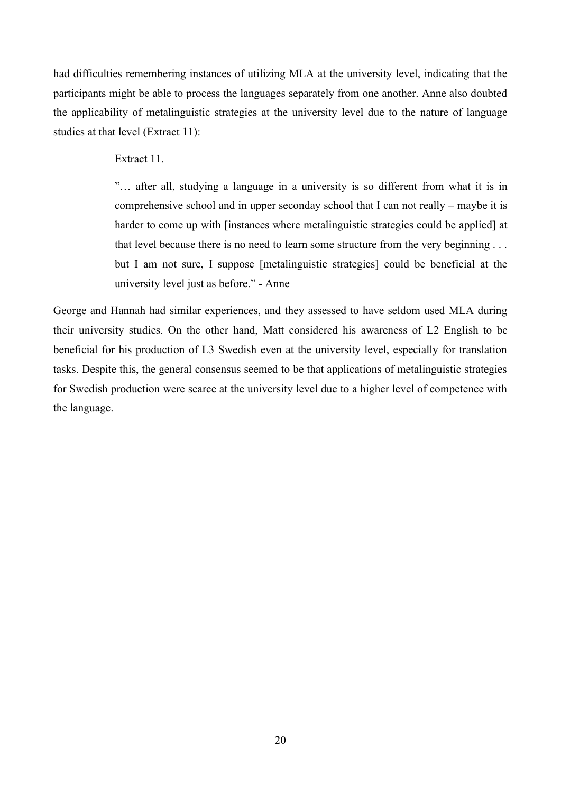had difficulties remembering instances of utilizing MLA at the university level, indicating that the participants might be able to process the languages separately from one another. Anne also doubted the applicability of metalinguistic strategies at the university level due to the nature of language studies at that level (Extract 11):

Extract 11.

"… after all, studying a language in a university is so different from what it is in comprehensive school and in upper seconday school that I can not really – maybe it is harder to come up with [instances where metalinguistic strategies could be applied] at that level because there is no need to learn some structure from the very beginning . . . but I am not sure, I suppose [metalinguistic strategies] could be beneficial at the university level just as before." - Anne

George and Hannah had similar experiences, and they assessed to have seldom used MLA during their university studies. On the other hand, Matt considered his awareness of L2 English to be beneficial for his production of L3 Swedish even at the university level, especially for translation tasks. Despite this, the general consensus seemed to be that applications of metalinguistic strategies for Swedish production were scarce at the university level due to a higher level of competence with the language.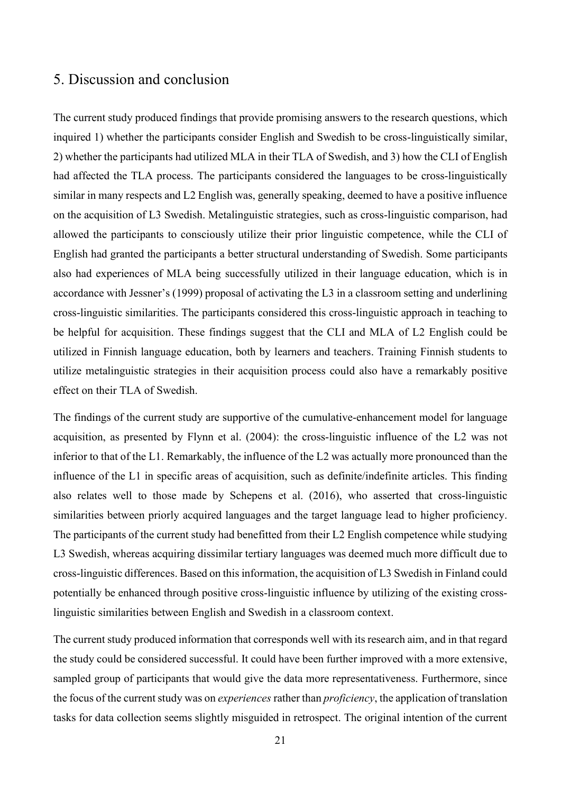## <span id="page-24-0"></span>5. Discussion and conclusion

The current study produced findings that provide promising answers to the research questions, which inquired 1) whether the participants consider English and Swedish to be cross-linguistically similar, 2) whether the participants had utilized MLA in their TLA of Swedish, and 3) how the CLI of English had affected the TLA process. The participants considered the languages to be cross-linguistically similar in many respects and L2 English was, generally speaking, deemed to have a positive influence on the acquisition of L3 Swedish. Metalinguistic strategies, such as cross-linguistic comparison, had allowed the participants to consciously utilize their prior linguistic competence, while the CLI of English had granted the participants a better structural understanding of Swedish. Some participants also had experiences of MLA being successfully utilized in their language education, which is in accordance with Jessner's (1999) proposal of activating the L3 in a classroom setting and underlining cross-linguistic similarities. The participants considered this cross-linguistic approach in teaching to be helpful for acquisition. These findings suggest that the CLI and MLA of L2 English could be utilized in Finnish language education, both by learners and teachers. Training Finnish students to utilize metalinguistic strategies in their acquisition process could also have a remarkably positive effect on their TLA of Swedish.

The findings of the current study are supportive of the cumulative-enhancement model for language acquisition, as presented by Flynn et al. (2004): the cross-linguistic influence of the L2 was not inferior to that of the L1. Remarkably, the influence of the L2 was actually more pronounced than the influence of the L1 in specific areas of acquisition, such as definite/indefinite articles. This finding also relates well to those made by Schepens et al. (2016), who asserted that cross-linguistic similarities between priorly acquired languages and the target language lead to higher proficiency. The participants of the current study had benefitted from their L2 English competence while studying L3 Swedish, whereas acquiring dissimilar tertiary languages was deemed much more difficult due to cross-linguistic differences. Based on thisinformation, the acquisition of L3 Swedish in Finland could potentially be enhanced through positive cross-linguistic influence by utilizing of the existing crosslinguistic similarities between English and Swedish in a classroom context.

The current study produced information that corresponds well with its research aim, and in that regard the study could be considered successful. It could have been further improved with a more extensive, sampled group of participants that would give the data more representativeness. Furthermore, since the focus of the current study was on *experiences* rather than *proficiency*, the application of translation tasks for data collection seems slightly misguided in retrospect. The original intention of the current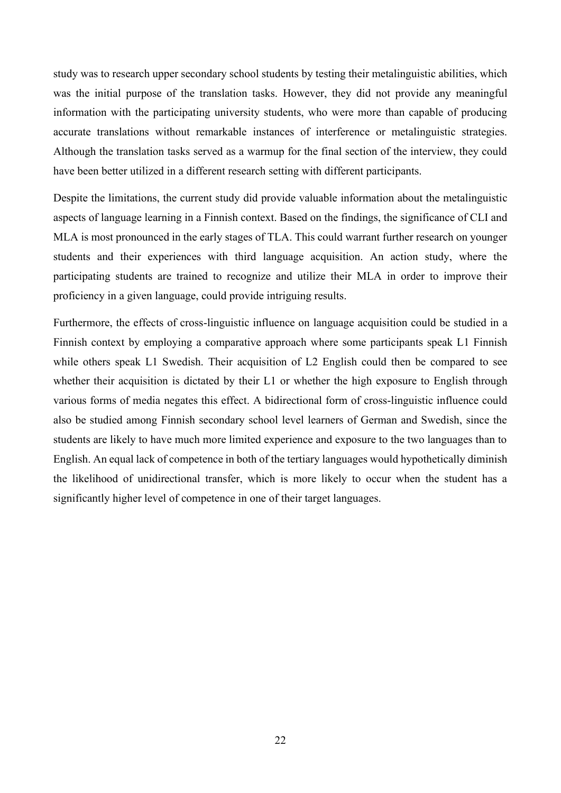study was to research upper secondary school students by testing their metalinguistic abilities, which was the initial purpose of the translation tasks. However, they did not provide any meaningful information with the participating university students, who were more than capable of producing accurate translations without remarkable instances of interference or metalinguistic strategies. Although the translation tasks served as a warmup for the final section of the interview, they could have been better utilized in a different research setting with different participants.

Despite the limitations, the current study did provide valuable information about the metalinguistic aspects of language learning in a Finnish context. Based on the findings, the significance of CLI and MLA is most pronounced in the early stages of TLA. This could warrant further research on younger students and their experiences with third language acquisition. An action study, where the participating students are trained to recognize and utilize their MLA in order to improve their proficiency in a given language, could provide intriguing results.

Furthermore, the effects of cross-linguistic influence on language acquisition could be studied in a Finnish context by employing a comparative approach where some participants speak L1 Finnish while others speak L1 Swedish. Their acquisition of L2 English could then be compared to see whether their acquisition is dictated by their L1 or whether the high exposure to English through various forms of media negates this effect. A bidirectional form of cross-linguistic influence could also be studied among Finnish secondary school level learners of German and Swedish, since the students are likely to have much more limited experience and exposure to the two languages than to English. An equal lack of competence in both of the tertiary languages would hypothetically diminish the likelihood of unidirectional transfer, which is more likely to occur when the student has a significantly higher level of competence in one of their target languages.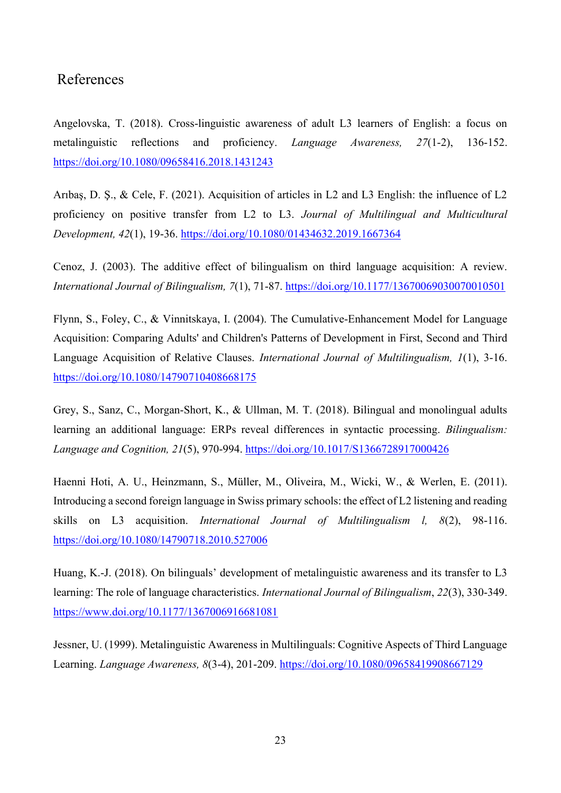## <span id="page-26-0"></span>References

Angelovska, T. (2018). Cross-linguistic awareness of adult L3 learners of English: a focus on metalinguistic reflections and proficiency. *Language Awareness, 27*(1-2), 136-152. <https://doi.org/10.1080/09658416.2018.1431243>

Arıbaş, D. Ş., & Cele, F. (2021). Acquisition of articles in L2 and L3 English: the influence of L2 proficiency on positive transfer from L2 to L3. *Journal of Multilingual and Multicultural Development, 42*(1), 19-36.<https://doi.org/10.1080/01434632.2019.1667364>

Cenoz, J. (2003). The additive effect of bilingualism on third language acquisition: A review. *International Journal of Bilingualism, 7*(1), 71-87.<https://doi.org/10.1177/13670069030070010501>

Flynn, S., Foley, C., & Vinnitskaya, I. (2004). The Cumulative-Enhancement Model for Language Acquisition: Comparing Adults' and Children's Patterns of Development in First, Second and Third Language Acquisition of Relative Clauses. *International Journal of Multilingualism, 1*(1), 3-16. <https://doi.org/10.1080/14790710408668175>

Grey, S., Sanz, C., Morgan-Short, K., & Ullman, M. T. (2018). Bilingual and monolingual adults learning an additional language: ERPs reveal differences in syntactic processing. *Bilingualism: Language and Cognition, 21*(5), 970-994.<https://doi.org/10.1017/S1366728917000426>

Haenni Hoti, A. U., Heinzmann, S., Müller, M., Oliveira, M., Wicki, W., & Werlen, E. (2011). Introducing a second foreign language in Swiss primary schools: the effect of L2 listening and reading skills on L3 acquisition. *International Journal of Multilingualism l, 8*(2), 98-116. <https://doi.org/10.1080/14790718.2010.527006>

Huang, K.-J. (2018). On bilinguals' development of metalinguistic awareness and its transfer to L3 learning: The role of language characteristics. *International Journal of Bilingualism*, *22*(3), 330-349. <https://www.doi.org/10.1177/1367006916681081>

Jessner, U. (1999). Metalinguistic Awareness in Multilinguals: Cognitive Aspects of Third Language Learning. *Language Awareness, 8*(3-4), 201-209.<https://doi.org/10.1080/09658419908667129>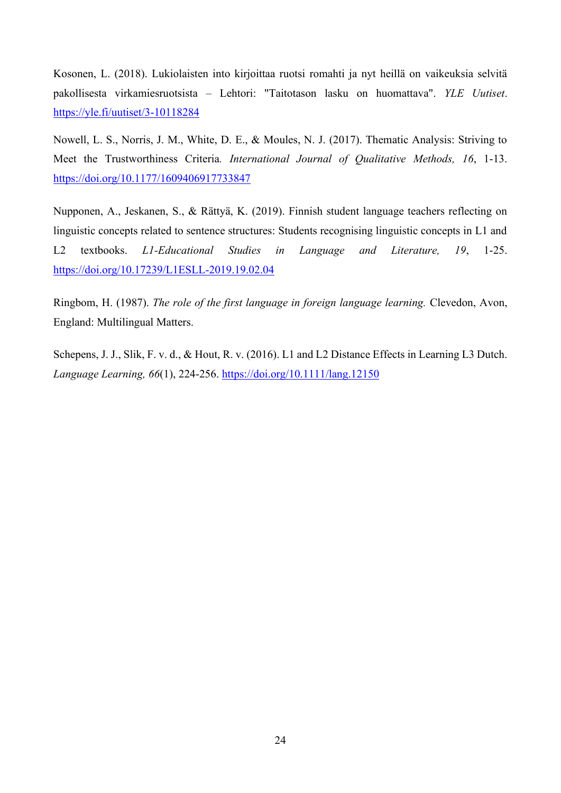Kosonen, L. (2018). Lukiolaisten into kirjoittaa ruotsi romahti ja nyt heillä on vaikeuksia selvitä pakollisesta virkamiesruotsista – Lehtori: "Taitotason lasku on huomattava". *YLE Uutiset*. <https://yle.fi/uutiset/3-10118284>

Nowell, L. S., Norris, J. M., White, D. E., & Moules, N. J. (2017). Thematic Analysis: Striving to Meet the Trustworthiness Criteria*. International Journal of Qualitative Methods, 16*, 1-13. <https://doi.org/10.1177/1609406917733847>

Nupponen, A., Jeskanen, S., & Rättyä, K. (2019). Finnish student language teachers reflecting on linguistic concepts related to sentence structures: Students recognising linguistic concepts in L1 and L2 textbooks. *L1-Educational Studies in Language and Literature, 19*, 1-25. <https://doi.org/10.17239/L1ESLL-2019.19.02.04>

Ringbom, H. (1987). *The role of the first language in foreign language learning.* Clevedon, Avon, England: Multilingual Matters.

Schepens, J. J., Slik, F. v. d., & Hout, R. v. (2016). L1 and L2 Distance Effects in Learning L3 Dutch. *Language Learning, 66*(1), 224-256.<https://doi.org/10.1111/lang.12150>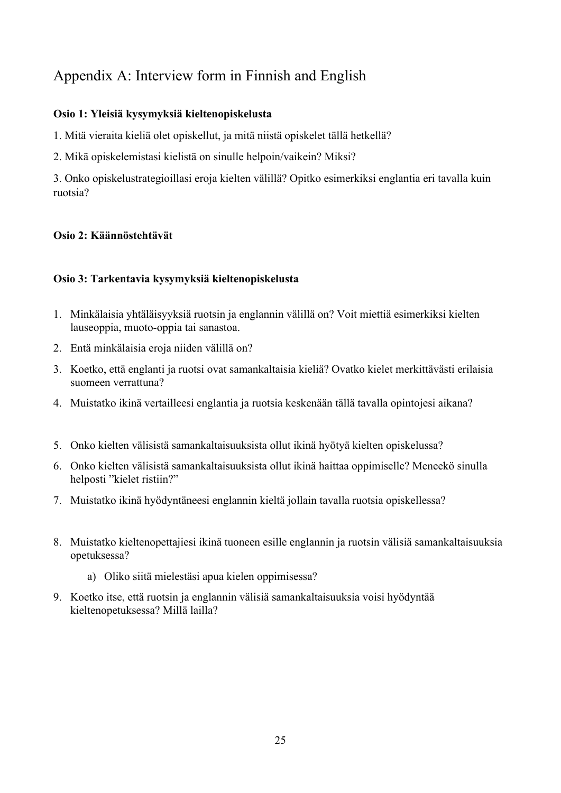# <span id="page-28-0"></span>Appendix A: Interview form in Finnish and English

## **Osio 1: Yleisiä kysymyksiä kieltenopiskelusta**

1. Mitä vieraita kieliä olet opiskellut, ja mitä niistä opiskelet tällä hetkellä?

2. Mikä opiskelemistasi kielistä on sinulle helpoin/vaikein? Miksi?

3. Onko opiskelustrategioillasi eroja kielten välillä? Opitko esimerkiksi englantia eri tavalla kuin ruotsia?

## **Osio 2: Käännöstehtävät**

## **Osio 3: Tarkentavia kysymyksiä kieltenopiskelusta**

- 1. Minkälaisia yhtäläisyyksiä ruotsin ja englannin välillä on? Voit miettiä esimerkiksi kielten lauseoppia, muoto-oppia tai sanastoa.
- 2. Entä minkälaisia eroja niiden välillä on?
- 3. Koetko, että englanti ja ruotsi ovat samankaltaisia kieliä? Ovatko kielet merkittävästi erilaisia suomeen verrattuna?
- 4. Muistatko ikinä vertailleesi englantia ja ruotsia keskenään tällä tavalla opintojesi aikana?
- 5. Onko kielten välisistä samankaltaisuuksista ollut ikinä hyötyä kielten opiskelussa?
- 6. Onko kielten välisistä samankaltaisuuksista ollut ikinä haittaa oppimiselle? Meneekö sinulla helposti "kielet ristiin?"
- 7. Muistatko ikinä hyödyntäneesi englannin kieltä jollain tavalla ruotsia opiskellessa?
- 8. Muistatko kieltenopettajiesi ikinä tuoneen esille englannin ja ruotsin välisiä samankaltaisuuksia opetuksessa?
	- a) Oliko siitä mielestäsi apua kielen oppimisessa?
- 9. Koetko itse, että ruotsin ja englannin välisiä samankaltaisuuksia voisi hyödyntää kieltenopetuksessa? Millä lailla?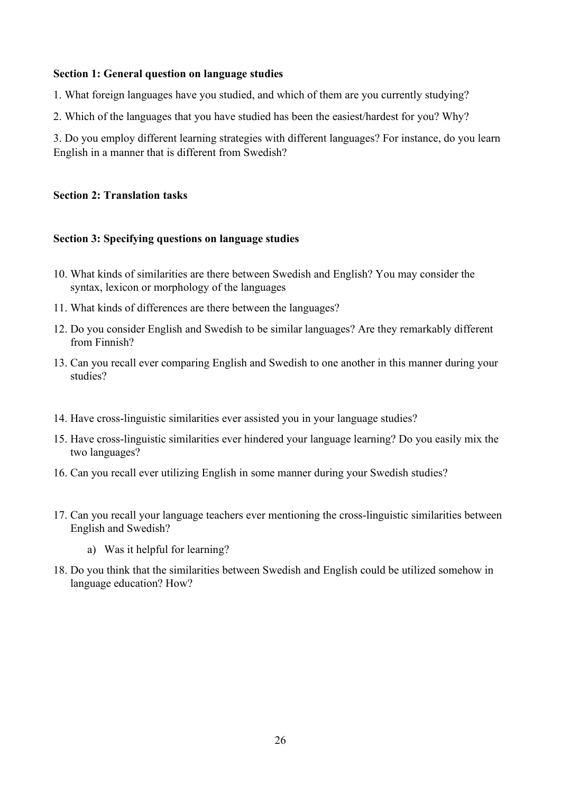## **Section 1: General question on language studies**

- 1. What foreign languages have you studied, and which of them are you currently studying?
- 2. Which of the languages that you have studied has been the easiest/hardest for you? Why?

3. Do you employ different learning strategies with different languages? For instance, do you learn English in a manner that is different from Swedish?

## **Section 2: Translation tasks**

## **Section 3: Specifying questions on language studies**

- 10. What kinds of similarities are there between Swedish and English? You may consider the syntax, lexicon or morphology of the languages
- 11. What kinds of differences are there between the languages?
- 12. Do you consider English and Swedish to be similar languages? Are they remarkably different from Finnish?
- 13. Can you recall ever comparing English and Swedish to one another in this manner during your studies?
- 14. Have cross-linguistic similarities ever assisted you in your language studies?
- 15. Have cross-linguistic similarities ever hindered your language learning? Do you easily mix the two languages?
- 16. Can you recall ever utilizing English in some manner during your Swedish studies?
- 17. Can you recall your language teachers ever mentioning the cross-linguistic similarities between English and Swedish?
	- a) Was it helpful for learning?
- 18. Do you think that the similarities between Swedish and English could be utilized somehow in language education? How?